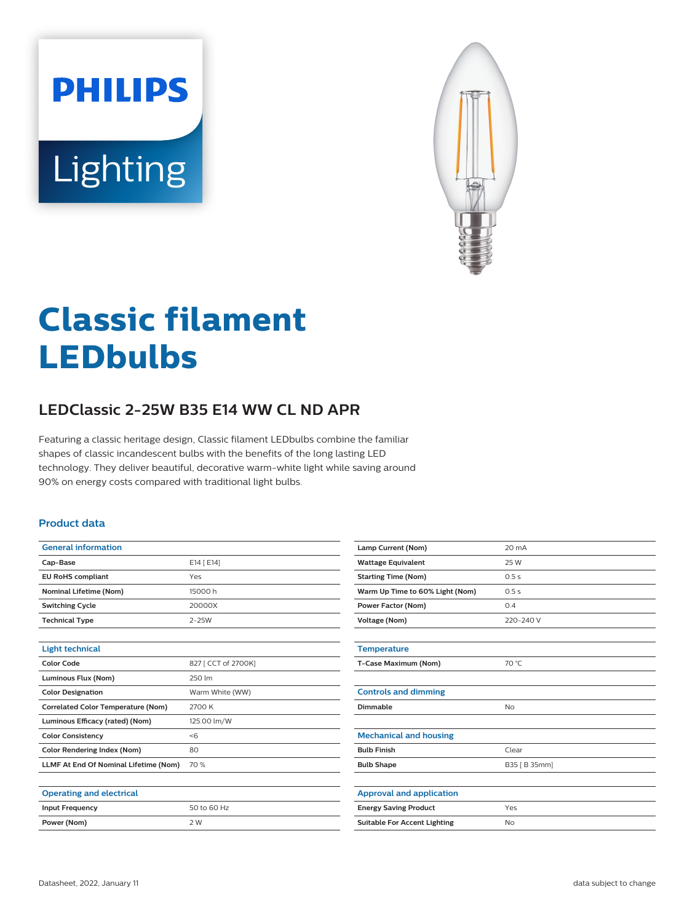# **PHILIPS** Lighting



# **Classic filament LEDbulbs**

# **LEDClassic 2-25W B35 E14 WW CL ND APR**

Featuring a classic heritage design, Classic filament LEDbulbs combine the familiar shapes of classic incandescent bulbs with the benefits of the long lasting LED technology. They deliver beautiful, decorative warm-white light while saving around 90% on energy costs compared with traditional light bulbs.

#### **Product data**

| <b>General information</b>                |                     |
|-------------------------------------------|---------------------|
| Cap-Base                                  | E14 [ E14]          |
| <b>EU RoHS compliant</b>                  | Yes                 |
| <b>Nominal Lifetime (Nom)</b>             | 15000 h             |
| <b>Switching Cycle</b>                    | 20000X              |
| <b>Technical Type</b>                     | $2-25W$             |
|                                           |                     |
| <b>Light technical</b>                    |                     |
| <b>Color Code</b>                         | 827 [ CCT of 2700K] |
| Luminous Flux (Nom)                       | 250 lm              |
| <b>Color Designation</b>                  | Warm White (WW)     |
| <b>Correlated Color Temperature (Nom)</b> | 2700 K              |
| Luminous Efficacy (rated) (Nom)           | 125.00 lm/W         |
| <b>Color Consistency</b>                  | < 6                 |
| <b>Color Rendering Index (Nom)</b>        | 80                  |
| LLMF At End Of Nominal Lifetime (Nom)     | 70 %                |
|                                           |                     |
| <b>Operating and electrical</b>           |                     |
| <b>Input Frequency</b>                    | 50 to 60 Hz         |
| Power (Nom)                               | 2 W                 |

| Lamp Current (Nom)                  | 20 mA         |
|-------------------------------------|---------------|
| <b>Wattage Equivalent</b>           | 25 W          |
| <b>Starting Time (Nom)</b>          | 0.5s          |
| Warm Up Time to 60% Light (Nom)     | 0.5s          |
| <b>Power Factor (Nom)</b>           | 0.4           |
| <b>Voltage (Nom)</b>                | 220-240 V     |
|                                     |               |
| <b>Temperature</b>                  |               |
| T-Case Maximum (Nom)                | 70 °C         |
|                                     |               |
| <b>Controls and dimming</b>         |               |
| Dimmable                            | <b>No</b>     |
|                                     |               |
| <b>Mechanical and housing</b>       |               |
| <b>Bulb Finish</b>                  | Clear         |
| <b>Bulb Shape</b>                   | B35 [ B 35mm] |
|                                     |               |
| <b>Approval and application</b>     |               |
| <b>Energy Saving Product</b>        | Yes           |
| <b>Suitable For Accent Lighting</b> | No            |
|                                     |               |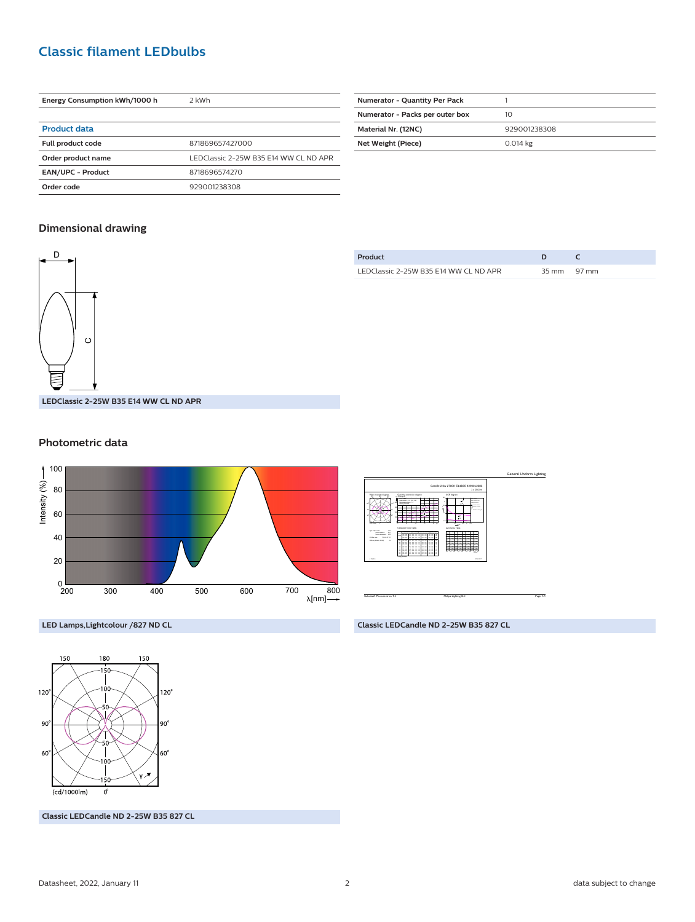## **Classic filament LEDbulbs**

| Energy Consumption kWh/1000 h | 2 kWh                                 |
|-------------------------------|---------------------------------------|
|                               |                                       |
| <b>Product data</b>           |                                       |
| Full product code             | 871869657427000                       |
| Order product name            | LEDClassic 2-25W B35 E14 WW CL ND APR |
| <b>EAN/UPC - Product</b>      | 8718696574270                         |
| Order code                    | 929001238308                          |

| <b>Numerator - Quantity Per Pack</b> |              |
|--------------------------------------|--------------|
| Numerator - Packs per outer box      | 10           |
| Material Nr. (12NC)                  | 929001238308 |
| Net Weight (Piece)                   | 0.014 kg     |
|                                      |              |

#### **Dimensional drawing**



#### **Product D C** LEDClassic 2-25W B35 E14 WW CL ND APR 35 mm 97 mm

#### **Photometric data**





**Classic LEDCandle ND 2-25W B35 827 CL**

**LED Lamps,Lightcolour /827 ND CL**



**Classic LEDCandle ND 2-25W B35 827 CL**